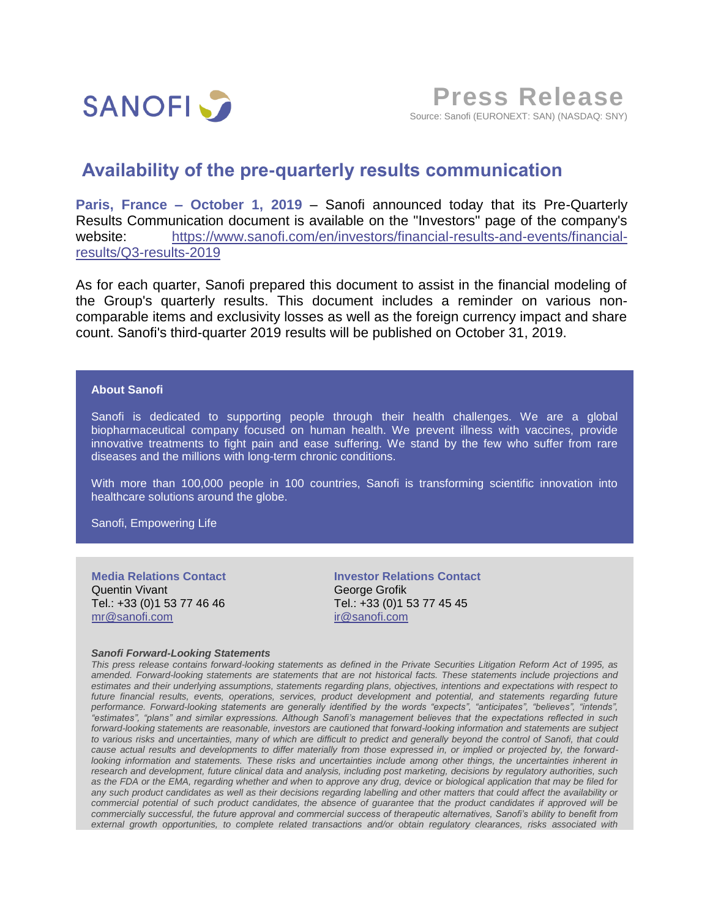

## **Availability of the pre-quarterly results communication**

**Paris, France – October 1, 2019** – Sanofi announced today that its Pre-Quarterly Results Communication document is available on the "Investors" page of the company's website: [https://www.sanofi.com/en/investors/financial-results-and-events/financial](https://www.sanofi.com/en/investors/financial-results-and-events/financial-results/Q3-results-2019)[results/Q3-results-2019](https://www.sanofi.com/en/investors/financial-results-and-events/financial-results/Q3-results-2019)

As for each quarter, Sanofi prepared this document to assist in the financial modeling of the Group's quarterly results. This document includes a reminder on various noncomparable items and exclusivity losses as well as the foreign currency impact and share count. Sanofi's third-quarter 2019 results will be published on October 31, 2019.

## **About Sanofi**

Sanofi is dedicated to supporting people through their health challenges. We are a global biopharmaceutical company focused on human health. We prevent illness with vaccines, provide innovative treatments to fight pain and ease suffering. We stand by the few who suffer from rare diseases and the millions with long-term chronic conditions.

With more than 100,000 people in 100 countries, Sanofi is transforming scientific innovation into healthcare solutions around the globe.

Sanofi, Empowering Life

**Media Relations Contact** Quentin Vivant Tel.: +33 (0)1 53 77 46 46 [mr@sanofi.com](mailto:mr@sanofi.com)

**Investor Relations Contact** George Grofik Tel.: +33 (0)1 53 77 45 45 [ir@sanofi.com](mailto:ir@sanofi.com)

## *Sanofi Forward-Looking Statements*

*This press release contains forward-looking statements as defined in the Private Securities Litigation Reform Act of 1995, as amended. Forward-looking statements are statements that are not historical facts. These statements include projections and estimates and their underlying assumptions, statements regarding plans, objectives, intentions and expectations with respect to future financial results, events, operations, services, product development and potential, and statements regarding future performance. Forward-looking statements are generally identified by the words "expects", "anticipates", "believes", "intends", "estimates", "plans" and similar expressions. Although Sanofi's management believes that the expectations reflected in such*  forward-looking statements are reasonable, investors are cautioned that forward-looking information and statements are subject *to various risks and uncertainties, many of which are difficult to predict and generally beyond the control of Sanofi, that could cause actual results and developments to differ materially from those expressed in, or implied or projected by, the forwardlooking information and statements. These risks and uncertainties include among other things, the uncertainties inherent in research and development, future clinical data and analysis, including post marketing, decisions by regulatory authorities, such as the FDA or the EMA, regarding whether and when to approve any drug, device or biological application that may be filed for any such product candidates as well as their decisions regarding labelling and other matters that could affect the availability or commercial potential of such product candidates, the absence of guarantee that the product candidates if approved will be commercially successful, the future approval and commercial success of therapeutic alternatives, Sanofi's ability to benefit from external growth opportunities, to complete related transactions and/or obtain regulatory clearances, risks associated with*